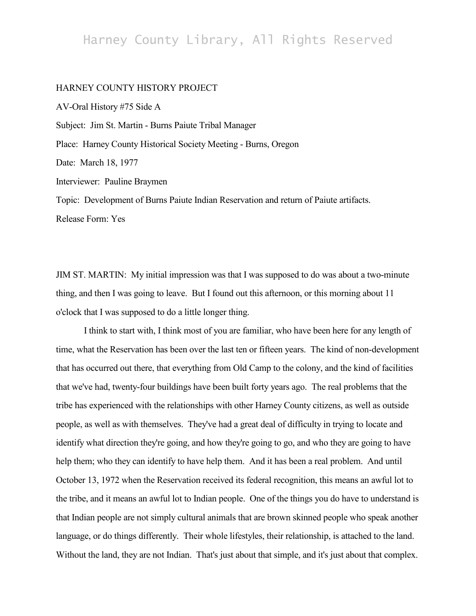## Harney County Library, All Rights Reserved

## HARNEY COUNTY HISTORY PROJECT

AV-Oral History #75 Side A Subject: Jim St. Martin - Burns Paiute Tribal Manager Place: Harney County Historical Society Meeting - Burns, Oregon Date: March 18, 1977 Interviewer: Pauline Braymen Topic: Development of Burns Paiute Indian Reservation and return of Paiute artifacts. Release Form: Yes

JIM ST. MARTIN: My initial impression was that I was supposed to do was about a two-minute thing, and then I was going to leave. But I found out this afternoon, or this morning about 11 o'clock that I was supposed to do a little longer thing.

I think to start with, I think most of you are familiar, who have been here for any length of time, what the Reservation has been over the last ten or fifteen years. The kind of non-development that has occurred out there, that everything from Old Camp to the colony, and the kind of facilities that we've had, twenty-four buildings have been built forty years ago. The real problems that the tribe has experienced with the relationships with other Harney County citizens, as well as outside people, as well as with themselves. They've had a great deal of difficulty in trying to locate and identify what direction they're going, and how they're going to go, and who they are going to have help them; who they can identify to have help them. And it has been a real problem. And until October 13, 1972 when the Reservation received its federal recognition, this means an awful lot to the tribe, and it means an awful lot to Indian people. One of the things you do have to understand is that Indian people are not simply cultural animals that are brown skinned people who speak another language, or do things differently. Their whole lifestyles, their relationship, is attached to the land. Without the land, they are not Indian. That's just about that simple, and it's just about that complex.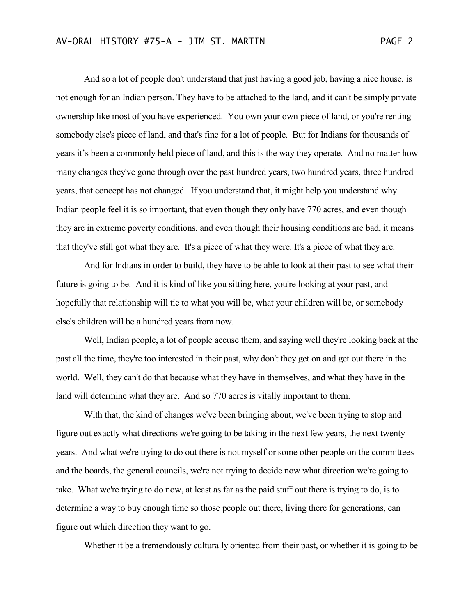And so a lot of people don't understand that just having a good job, having a nice house, is not enough for an Indian person. They have to be attached to the land, and it can't be simply private ownership like most of you have experienced. You own your own piece of land, or you're renting somebody else's piece of land, and that's fine for a lot of people. But for Indians for thousands of years it's been a commonly held piece of land, and this is the way they operate. And no matter how many changes they've gone through over the past hundred years, two hundred years, three hundred years, that concept has not changed. If you understand that, it might help you understand why Indian people feel it is so important, that even though they only have 770 acres, and even though they are in extreme poverty conditions, and even though their housing conditions are bad, it means that they've still got what they are. It's a piece of what they were. It's a piece of what they are.

And for Indians in order to build, they have to be able to look at their past to see what their future is going to be. And it is kind of like you sitting here, you're looking at your past, and hopefully that relationship will tie to what you will be, what your children will be, or somebody else's children will be a hundred years from now.

Well, Indian people, a lot of people accuse them, and saying well they're looking back at the past all the time, they're too interested in their past, why don't they get on and get out there in the world. Well, they can't do that because what they have in themselves, and what they have in the land will determine what they are. And so 770 acres is vitally important to them.

With that, the kind of changes we've been bringing about, we've been trying to stop and figure out exactly what directions we're going to be taking in the next few years, the next twenty years. And what we're trying to do out there is not myself or some other people on the committees and the boards, the general councils, we're not trying to decide now what direction we're going to take. What we're trying to do now, at least as far as the paid staff out there is trying to do, is to determine a way to buy enough time so those people out there, living there for generations, can figure out which direction they want to go.

Whether it be a tremendously culturally oriented from their past, or whether it is going to be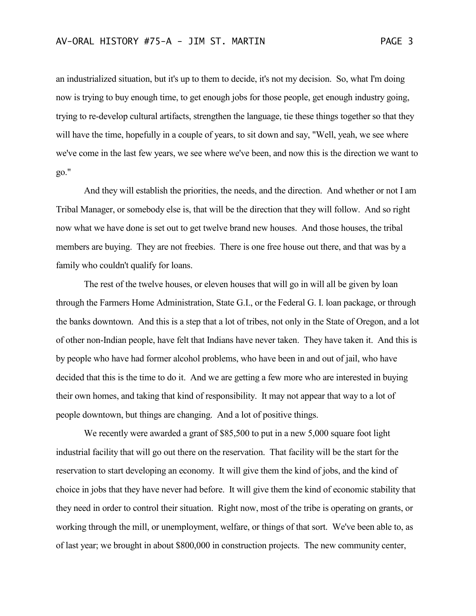an industrialized situation, but it's up to them to decide, it's not my decision. So, what I'm doing now is trying to buy enough time, to get enough jobs for those people, get enough industry going, trying to re-develop cultural artifacts, strengthen the language, tie these things together so that they will have the time, hopefully in a couple of years, to sit down and say, "Well, yeah, we see where we've come in the last few years, we see where we've been, and now this is the direction we want to go."

And they will establish the priorities, the needs, and the direction. And whether or not I am Tribal Manager, or somebody else is, that will be the direction that they will follow. And so right now what we have done is set out to get twelve brand new houses. And those houses, the tribal members are buying. They are not freebies. There is one free house out there, and that was by a family who couldn't qualify for loans.

The rest of the twelve houses, or eleven houses that will go in will all be given by loan through the Farmers Home Administration, State G.I., or the Federal G. I. loan package, or through the banks downtown. And this is a step that a lot of tribes, not only in the State of Oregon, and a lot of other non-Indian people, have felt that Indians have never taken. They have taken it. And this is by people who have had former alcohol problems, who have been in and out of jail, who have decided that this is the time to do it. And we are getting a few more who are interested in buying their own homes, and taking that kind of responsibility. It may not appear that way to a lot of people downtown, but things are changing. And a lot of positive things.

We recently were awarded a grant of \$85,500 to put in a new 5,000 square foot light industrial facility that will go out there on the reservation. That facility will be the start for the reservation to start developing an economy. It will give them the kind of jobs, and the kind of choice in jobs that they have never had before. It will give them the kind of economic stability that they need in order to control their situation. Right now, most of the tribe is operating on grants, or working through the mill, or unemployment, welfare, or things of that sort. We've been able to, as of last year; we brought in about \$800,000 in construction projects. The new community center,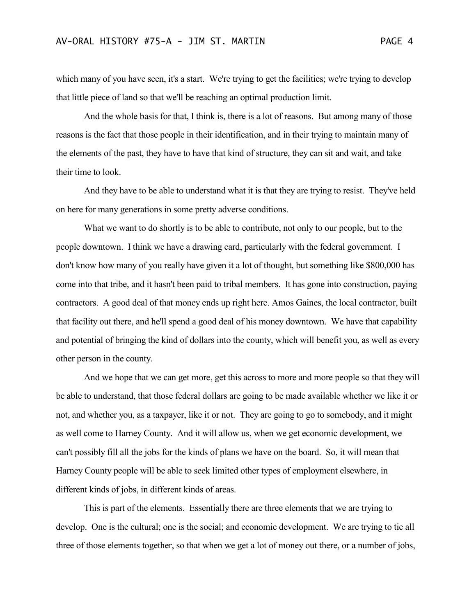which many of you have seen, it's a start. We're trying to get the facilities; we're trying to develop that little piece of land so that we'll be reaching an optimal production limit.

And the whole basis for that, I think is, there is a lot of reasons. But among many of those reasons is the fact that those people in their identification, and in their trying to maintain many of the elements of the past, they have to have that kind of structure, they can sit and wait, and take their time to look.

And they have to be able to understand what it is that they are trying to resist. They've held on here for many generations in some pretty adverse conditions.

What we want to do shortly is to be able to contribute, not only to our people, but to the people downtown. I think we have a drawing card, particularly with the federal government. I don't know how many of you really have given it a lot of thought, but something like \$800,000 has come into that tribe, and it hasn't been paid to tribal members. It has gone into construction, paying contractors. A good deal of that money ends up right here. Amos Gaines, the local contractor, built that facility out there, and he'll spend a good deal of his money downtown. We have that capability and potential of bringing the kind of dollars into the county, which will benefit you, as well as every other person in the county.

And we hope that we can get more, get this across to more and more people so that they will be able to understand, that those federal dollars are going to be made available whether we like it or not, and whether you, as a taxpayer, like it or not. They are going to go to somebody, and it might as well come to Harney County. And it will allow us, when we get economic development, we can't possibly fill all the jobs for the kinds of plans we have on the board. So, it will mean that Harney County people will be able to seek limited other types of employment elsewhere, in different kinds of jobs, in different kinds of areas.

This is part of the elements. Essentially there are three elements that we are trying to develop. One is the cultural; one is the social; and economic development. We are trying to tie all three of those elements together, so that when we get a lot of money out there, or a number of jobs,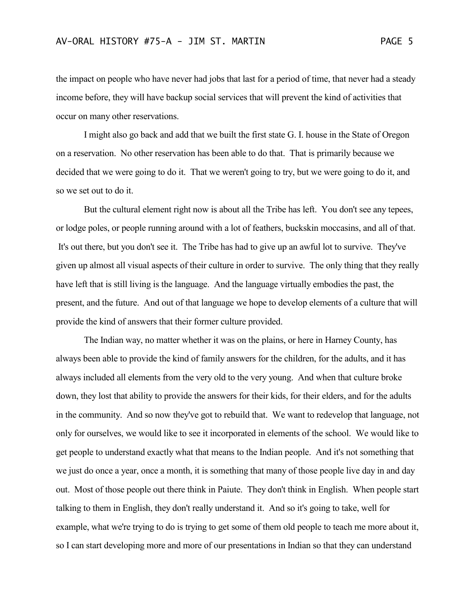the impact on people who have never had jobs that last for a period of time, that never had a steady income before, they will have backup social services that will prevent the kind of activities that occur on many other reservations.

I might also go back and add that we built the first state G. I. house in the State of Oregon on a reservation. No other reservation has been able to do that. That is primarily because we decided that we were going to do it. That we weren't going to try, but we were going to do it, and so we set out to do it.

But the cultural element right now is about all the Tribe has left. You don't see any tepees, or lodge poles, or people running around with a lot of feathers, buckskin moccasins, and all of that. It's out there, but you don't see it. The Tribe has had to give up an awful lot to survive. They've given up almost all visual aspects of their culture in order to survive. The only thing that they really have left that is still living is the language. And the language virtually embodies the past, the present, and the future. And out of that language we hope to develop elements of a culture that will provide the kind of answers that their former culture provided.

The Indian way, no matter whether it was on the plains, or here in Harney County, has always been able to provide the kind of family answers for the children, for the adults, and it has always included all elements from the very old to the very young. And when that culture broke down, they lost that ability to provide the answers for their kids, for their elders, and for the adults in the community. And so now they've got to rebuild that. We want to redevelop that language, not only for ourselves, we would like to see it incorporated in elements of the school. We would like to get people to understand exactly what that means to the Indian people. And it's not something that we just do once a year, once a month, it is something that many of those people live day in and day out. Most of those people out there think in Paiute. They don't think in English. When people start talking to them in English, they don't really understand it. And so it's going to take, well for example, what we're trying to do is trying to get some of them old people to teach me more about it, so I can start developing more and more of our presentations in Indian so that they can understand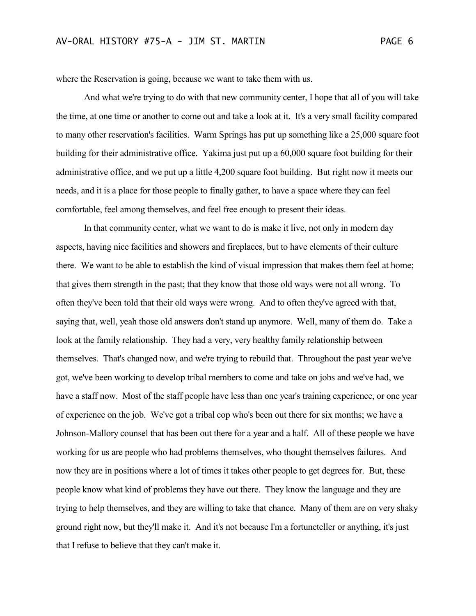where the Reservation is going, because we want to take them with us.

And what we're trying to do with that new community center, I hope that all of you will take the time, at one time or another to come out and take a look at it. It's a very small facility compared to many other reservation's facilities. Warm Springs has put up something like a 25,000 square foot building for their administrative office. Yakima just put up a 60,000 square foot building for their administrative office, and we put up a little 4,200 square foot building. But right now it meets our needs, and it is a place for those people to finally gather, to have a space where they can feel comfortable, feel among themselves, and feel free enough to present their ideas.

In that community center, what we want to do is make it live, not only in modern day aspects, having nice facilities and showers and fireplaces, but to have elements of their culture there. We want to be able to establish the kind of visual impression that makes them feel at home; that gives them strength in the past; that they know that those old ways were not all wrong. To often they've been told that their old ways were wrong. And to often they've agreed with that, saying that, well, yeah those old answers don't stand up anymore. Well, many of them do. Take a look at the family relationship. They had a very, very healthy family relationship between themselves. That's changed now, and we're trying to rebuild that. Throughout the past year we've got, we've been working to develop tribal members to come and take on jobs and we've had, we have a staff now. Most of the staff people have less than one year's training experience, or one year of experience on the job. We've got a tribal cop who's been out there for six months; we have a Johnson-Mallory counsel that has been out there for a year and a half. All of these people we have working for us are people who had problems themselves, who thought themselves failures. And now they are in positions where a lot of times it takes other people to get degrees for. But, these people know what kind of problems they have out there. They know the language and they are trying to help themselves, and they are willing to take that chance. Many of them are on very shaky ground right now, but they'll make it. And it's not because I'm a fortuneteller or anything, it's just that I refuse to believe that they can't make it.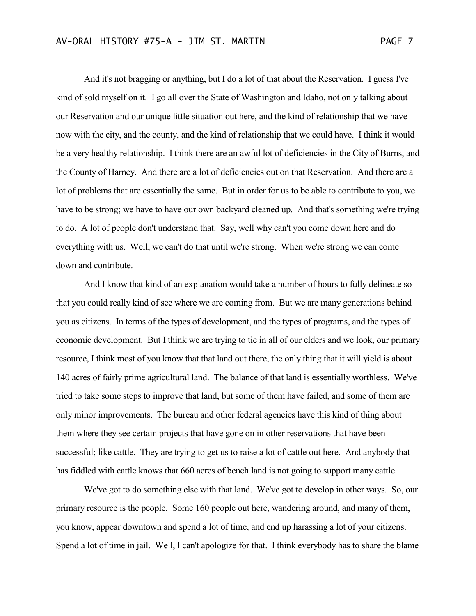And it's not bragging or anything, but I do a lot of that about the Reservation. I guess I've kind of sold myself on it. I go all over the State of Washington and Idaho, not only talking about our Reservation and our unique little situation out here, and the kind of relationship that we have now with the city, and the county, and the kind of relationship that we could have. I think it would be a very healthy relationship. I think there are an awful lot of deficiencies in the City of Burns, and the County of Harney. And there are a lot of deficiencies out on that Reservation. And there are a lot of problems that are essentially the same. But in order for us to be able to contribute to you, we have to be strong; we have to have our own backyard cleaned up. And that's something we're trying to do. A lot of people don't understand that. Say, well why can't you come down here and do everything with us. Well, we can't do that until we're strong. When we're strong we can come down and contribute.

And I know that kind of an explanation would take a number of hours to fully delineate so that you could really kind of see where we are coming from. But we are many generations behind you as citizens. In terms of the types of development, and the types of programs, and the types of economic development. But I think we are trying to tie in all of our elders and we look, our primary resource, I think most of you know that that land out there, the only thing that it will yield is about 140 acres of fairly prime agricultural land. The balance of that land is essentially worthless. We've tried to take some steps to improve that land, but some of them have failed, and some of them are only minor improvements. The bureau and other federal agencies have this kind of thing about them where they see certain projects that have gone on in other reservations that have been successful; like cattle. They are trying to get us to raise a lot of cattle out here. And anybody that has fiddled with cattle knows that 660 acres of bench land is not going to support many cattle.

We've got to do something else with that land. We've got to develop in other ways. So, our primary resource is the people. Some 160 people out here, wandering around, and many of them, you know, appear downtown and spend a lot of time, and end up harassing a lot of your citizens. Spend a lot of time in jail. Well, I can't apologize for that. I think everybody has to share the blame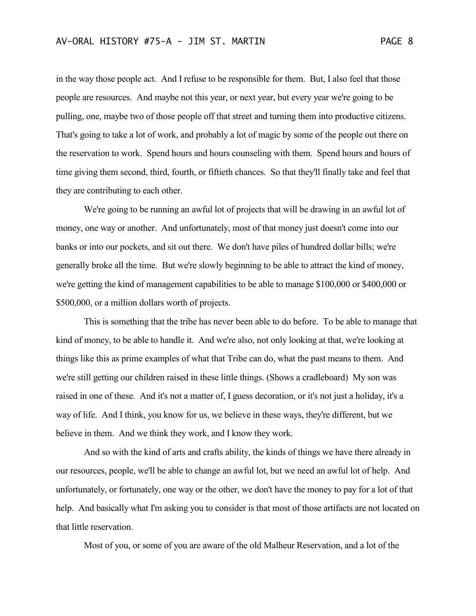in the way those people act. And I refuse to be responsible for them. But, I also feel that those people are resources. And maybe not this year, or next year, but every year we're going to be pulling, one, maybe two of those people off that street and turning them into productive citizens. That's going to take a lot of work, and probably a lot of magic by some of the people out there on the reservation to work. Spend hours and hours counseling with them. Spend hours and hours of time giving them second, third, fourth, or fiftieth chances. So that they'll finally take and feel that they are contributing to each other.

We're going to be running an awful lot of projects that will be drawing in an awful lot of money, one way or another. And unfortunately, most of that money just doesn't come into our banks or into our pockets, and sit out there. We don't have piles of hundred dollar bills; we're generally broke all the time. But we're slowly beginning to be able to attract the kind of money, we're getting the kind of management capabilities to be able to manage \$100,000 or \$400,000 or \$500,000, or a million dollars worth of projects.

This is something that the tribe has never been able to do before. To be able to manage that kind of money, to be able to handle it. And we're also, not only looking at that, we're looking at things like this as prime examples of what that Tribe can do, what the past means to them. And we're still getting our children raised in these little things. (Shows a cradleboard) My son was raised in one of these. And it's not a matter of, I guess decoration, or it's not just a holiday, it's a way of life. And I think, you know for us, we believe in these ways, they're different, but we believe in them. And we think they work, and I know they work.

And so with the kind of arts and crafts ability, the kinds of things we have there already in our resources, people, we'll be able to change an awful lot, but we need an awful lot of help. And unfortunately, or fortunately, one way or the other, we don't have the money to pay for a lot of that help. And basically what I'm asking you to consider is that most of those artifacts are not located on that little reservation.

Most of you, or some of you are aware of the old Malheur Reservation, and a lot of the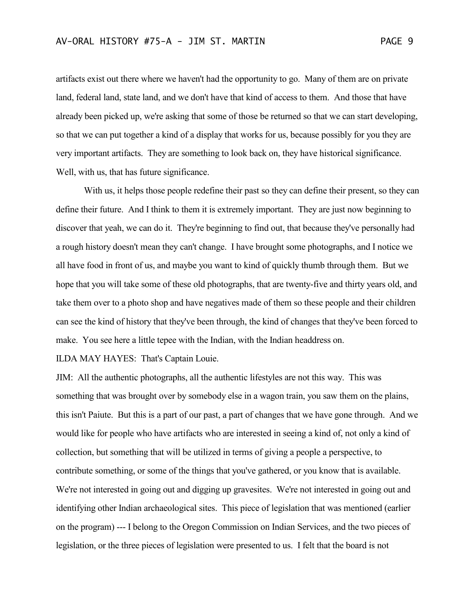artifacts exist out there where we haven't had the opportunity to go. Many of them are on private land, federal land, state land, and we don't have that kind of access to them. And those that have already been picked up, we're asking that some of those be returned so that we can start developing, so that we can put together a kind of a display that works for us, because possibly for you they are very important artifacts. They are something to look back on, they have historical significance. Well, with us, that has future significance.

With us, it helps those people redefine their past so they can define their present, so they can define their future. And I think to them it is extremely important. They are just now beginning to discover that yeah, we can do it. They're beginning to find out, that because they've personally had a rough history doesn't mean they can't change. I have brought some photographs, and I notice we all have food in front of us, and maybe you want to kind of quickly thumb through them. But we hope that you will take some of these old photographs, that are twenty-five and thirty years old, and take them over to a photo shop and have negatives made of them so these people and their children can see the kind of history that they've been through, the kind of changes that they've been forced to make. You see here a little tepee with the Indian, with the Indian headdress on.

ILDA MAY HAYES: That's Captain Louie.

JIM: All the authentic photographs, all the authentic lifestyles are not this way. This was something that was brought over by somebody else in a wagon train, you saw them on the plains, this isn't Paiute. But this is a part of our past, a part of changes that we have gone through. And we would like for people who have artifacts who are interested in seeing a kind of, not only a kind of collection, but something that will be utilized in terms of giving a people a perspective, to contribute something, or some of the things that you've gathered, or you know that is available. We're not interested in going out and digging up gravesites. We're not interested in going out and identifying other Indian archaeological sites. This piece of legislation that was mentioned (earlier on the program) --- I belong to the Oregon Commission on Indian Services, and the two pieces of legislation, or the three pieces of legislation were presented to us. I felt that the board is not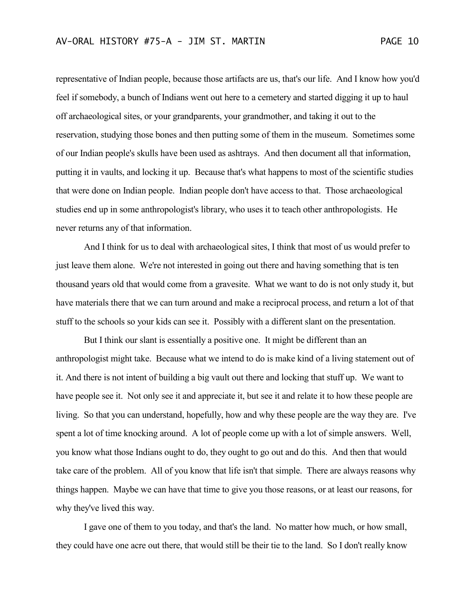representative of Indian people, because those artifacts are us, that's our life. And I know how you'd feel if somebody, a bunch of Indians went out here to a cemetery and started digging it up to haul off archaeological sites, or your grandparents, your grandmother, and taking it out to the reservation, studying those bones and then putting some of them in the museum. Sometimes some of our Indian people's skulls have been used as ashtrays. And then document all that information, putting it in vaults, and locking it up. Because that's what happens to most of the scientific studies that were done on Indian people. Indian people don't have access to that. Those archaeological studies end up in some anthropologist's library, who uses it to teach other anthropologists. He never returns any of that information.

And I think for us to deal with archaeological sites, I think that most of us would prefer to just leave them alone. We're not interested in going out there and having something that is ten thousand years old that would come from a gravesite. What we want to do is not only study it, but have materials there that we can turn around and make a reciprocal process, and return a lot of that stuff to the schools so your kids can see it. Possibly with a different slant on the presentation.

But I think our slant is essentially a positive one. It might be different than an anthropologist might take. Because what we intend to do is make kind of a living statement out of it. And there is not intent of building a big vault out there and locking that stuff up. We want to have people see it. Not only see it and appreciate it, but see it and relate it to how these people are living. So that you can understand, hopefully, how and why these people are the way they are. I've spent a lot of time knocking around. A lot of people come up with a lot of simple answers. Well, you know what those Indians ought to do, they ought to go out and do this. And then that would take care of the problem. All of you know that life isn't that simple. There are always reasons why things happen. Maybe we can have that time to give you those reasons, or at least our reasons, for why they've lived this way.

I gave one of them to you today, and that's the land. No matter how much, or how small, they could have one acre out there, that would still be their tie to the land. So I don't really know